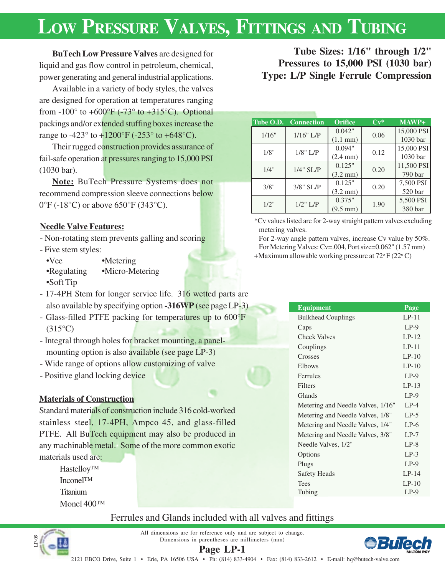# **LOW PRESSURE VALVES, FITTINGS AND TUBING**

**BuTech Low Pressure Valves** are designed for liquid and gas flow control in petroleum, chemical, power generating and general industrial applications.

Available in a variety of body styles, the valves are designed for operation at temperatures ranging from  $-100^\circ$  to  $+600^\circ$ F ( $-73^\circ$  to  $+315^\circ$ C). Optional packings and/or extended stuffing boxes increase the range to -423 $\degree$  to +1200 $\degree$ F (-253 $\degree$  to +648 $\degree$ C).

Their rugged construction provides assurance of fail-safe operation at pressures ranging to 15,000 PSI (1030 bar).

**Note:** BuTech Pressure Systems does not recommend compression sleeve connections below 0°F (-18°C) or above 650°F (343°C).

## **Needle Valve Features:**

- Non-rotating stem prevents galling and scoring

- Five stem styles:

•Vee •Metering •Regulating •Micro-Metering •Soft Tip

- 17-4PH Stem for longer service life. 316 wetted parts are also available by specifying option **-316WP** (see page LP-3)
- Glass-filled PTFE packing for temperatures up to 600°F (315°C)
- Integral through holes for bracket mounting, a panelmounting option is also available (see page LP-3)
- Wide range of options allow customizing of valve
- Positive gland locking device

## **Materials of Construction**

Standard materials of construction include 316 cold-worked stainless steel, 17-4PH, Ampco 45, and glass-filled PTFE. All BuTech equipment may also be produced in any machinable metal. Some of the more common exotic materials used are:

> Hastelloy™ Inconel™ **Titanium** Monel 400™

# Ferrules and Glands included with all valves and fittings



**Page LP-1** All dimensions are for reference only and are subject to change. Dimensions in parentheses are millimeters (mm)



**Tube Sizes: 1/16" through 1/2" Pressures to 15,000 PSI (1030 bar) Type: L/P Single Ferrule Compression**

| Tube O.D. | <b>Connection</b> | <b>Orifice</b>     | $Cv^*$ | MAWP+      |
|-----------|-------------------|--------------------|--------|------------|
| 1/16"     | 1/16" L/P         | 0.042"             | 0.06   | 15,000 PSI |
|           |                   | $(1.1 \text{ mm})$ |        | 1030 bar   |
| 1/8"      | $1/8$ " L/P       | 0.094"             | 0.12   | 15,000 PSI |
|           |                   | $(2.4 \text{ mm})$ |        | 1030 bar   |
| 1/4"      | $1/4$ " SL/P      | 0.125"             | 0.20   | 11,500 PSI |
|           |                   | $(3.2 \text{ mm})$ |        | 790 bar    |
| 3/8"      | $3/8$ " SL/P      | 0.125"             | 0.20   | 7,500 PSI  |
|           |                   | $(3.2 \text{ mm})$ |        | 520 bar    |
| 1/2"      |                   | 0.375"             |        | 5,500 PSI  |
|           | $1/2$ " L/P       | $(9.5 \text{ mm})$ | 1.90   | 380 bar    |

\*Cv values listed are for 2-way straight pattern valves excluding metering valves.

For 2-way angle pattern valves, increase Cv value by 50%. For Metering Valves: Cv=.004, Port size=0.062" (1.57 mm)

+Maximum allowable working pressure at  $72^{\circ}$  F (22 $^{\circ}$ C)

| <b>Equipment</b>                  | Page     |
|-----------------------------------|----------|
| <b>Bulkhead Couplings</b>         | $LP-11$  |
| Caps                              | $LP-9$   |
| <b>Check Valves</b>               | $L.P-12$ |
| Couplings                         | $LP-11$  |
| Crosses                           | $LP-10$  |
| Elbows                            | $L.P-10$ |
| Ferrules                          | $LP-9$   |
| Filters                           | $LP-13$  |
| Glands                            | $LP-9$   |
| Metering and Needle Valves, 1/16" | $LP-4$   |
| Metering and Needle Valves, 1/8"  | $LP-5$   |
| Metering and Needle Valves, 1/4"  | $LP-6$   |
| Metering and Needle Valves, 3/8"  | $LP-7$   |
| Needle Valves, 1/2"               | $LP-8$   |
| Options                           | $LP-3$   |
| Plugs                             | $LP-9$   |
| <b>Safety Heads</b>               | $I.P-14$ |
| Tees                              | $LP-10$  |
| Tubing                            | $LP-9$   |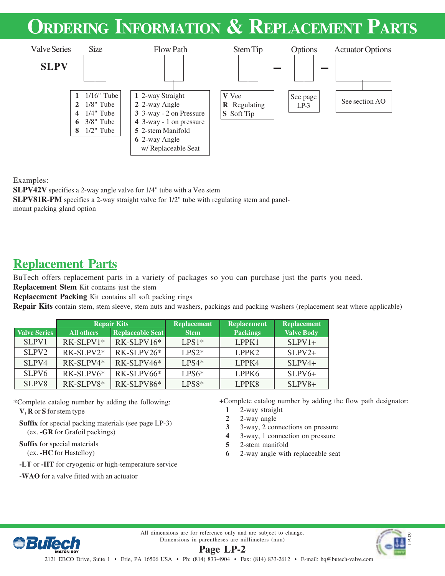# **ORDERING INFORMATION & REPLACEMENT PARTS**



Examples:

**SLPV42V** specifies a 2-way angle valve for 1/4" tube with a Vee stem **SLPV81R-PM** specifies a 2-way straight valve for 1/2" tube with regulating stem and panelmount packing gland option

# **Replacement Parts**

BuTech offers replacement parts in a variety of packages so you can purchase just the parts you need.

**Replacement Stem** Kit contains just the stem

**Replacement Packing** Kit contains all soft packing rings

**Repair Kits** contain stem, stem sleeve, stem nuts and washers, packings and packing washers (replacement seat where applicable)

|                     |                   | <b>Repair Kits</b>      | <b>Replacement</b> | <b>Replacement</b> | <b>Replacement</b> |
|---------------------|-------------------|-------------------------|--------------------|--------------------|--------------------|
| <b>Valve Series</b> | <b>All others</b> | <b>Replaceable Seat</b> | <b>Stem</b>        | <b>Packings</b>    | <b>Valve Body</b>  |
| SLPV1               | RK-SLPV1*         | RK-SLPV16*              | $LPS1*$            | LPPK1              | $SLPV1+$           |
| SLPV <sub>2</sub>   | RK-SLPV2*         | $RK-SLPV26*$            | $LPS2*$            | LPPK <sub>2</sub>  | $SLPV2+$           |
| SLPV4               | RK-SLPV4*         | RK-SLPV46*              | $LPS4*$            | LPPK4              | $SLPV4+$           |
| SLPV <sub>6</sub>   | RK-SLPV6*         | RK-SLPV66*              | $LPS6*$            | LPPK6              | $SLPV6+$           |
| SLPV8               | RK-SLPV8*         | RK-SLPV86*              | $LPS8*$            | LPPK8              | $SLPV8+$           |

\*Complete catalog number by adding the following:

**V, R** or **S** for stem type

**Suffix** for special packing materials (see page LP-3) (ex. **-GR** for Grafoil packings)

**Suffix** for special materials (ex. **-HC** for Hastelloy)

**-LT** or **-HT** for cryogenic or high-temperature service

**-WAO** for a valve fitted with an actuator

+Complete catalog number by adding the flow path designator:

- **1** 2-way straight
- **2** 2-way angle
- **3** 3-way, 2 connections on pressure
- **4** 3-way, 1 connection on pressure
- **5** 2-stem manifold
- **6** 2-way angle with replaceable seat



All dimensions are for reference only and are subject to change. Dimensions in parentheses are millimeters (mm)

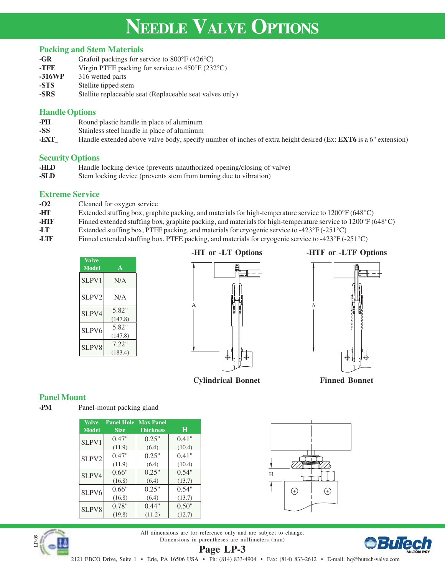# **NEEDLE VALVE OPTIONS**

### **Packing and Stem Materials**

| -GR    | Grafoil packings for service to $800^{\circ}$ F (426 $^{\circ}$ C)    |
|--------|-----------------------------------------------------------------------|
| -TFE   | Virgin PTFE packing for service to $450^{\circ}$ F (232 $^{\circ}$ C) |
| -316WP | 316 wetted parts                                                      |
| -STS   | Stellite tipped stem                                                  |
| -SRS   | Stellite replaceable seat (Replaceable seat valves only)              |

### **Handle Options**

- **-PH** Round plastic handle in place of aluminum
- **-SS** Stainless steel handle in place of aluminum
- **-EXT\_** Handle extended above valve body, specify number of inches of extra height desired (Ex: **EXT6** is a 6" extension)

### **Security Options**

- **-HLD** Handle locking device (prevents unauthorized opening/closing of valve)<br> **-SLD** Stem locking device (prevents stem from turning due to vibration)
- Stem locking device (prevents stem from turning due to vibration)

### **Extreme Service**

- **-O2** Cleaned for oxygen service
- **-HT** Extended stuffing box, graphite packing, and materials for high-temperature service to 1200°F (648°C)
- **-HTF** Finned extended stuffing box, graphite packing, and materials for high-temperature service to 1200°F (648°C)
- **-LT** Extended stuffing box, PTFE packing, and materials for cryogenic service to -423°F (-251°C)
- **-LTF** Finned extended stuffing box, PTFE packing, and materials for cryogenic service to -423°F (-251°C)

| <b>Valve</b><br>Model | A                |
|-----------------------|------------------|
| SLPV1                 | N/A              |
| SLPV2                 | N/A              |
| SLPV4                 | 5.82"<br>(147.8) |
| SLPV6                 | 5.82"<br>(147.8) |
| SLPV8                 | 7.22"<br>(183.4) |



**-HT or -LT Options -HTF or -LTF Options**



**Cylindrical Bonnet Finned Bonnet**

⊕

### **Panel Mount**

**-PM** Panel-mount packing gland

| <b>Valve</b><br><b>Model</b> | <b>Panel Hole</b><br><b>Size</b> | <b>Max Panel</b><br><b>Thickness</b> | Н               |
|------------------------------|----------------------------------|--------------------------------------|-----------------|
| SLPV1                        | 0.47"                            | 0.25"                                | 0.41"           |
|                              | (11.9)<br>0.47"                  | (6.4)<br>0.25"                       | (10.4)<br>0.41" |
| SLPV2                        | (11.9)                           | (6.4)                                | (10.4)          |
| SLPV4                        | 0.66"                            | 0.25"                                | 0.54"           |
|                              | (16.8)                           | (6.4)                                | (13.7)          |
| SLPV6                        | 0.66"                            | 0.25"                                | 0.54"           |
|                              | (16.8)                           | (6.4)                                | (13.7)          |
| <b>SLPV8</b>                 | 0.78"                            | 0.44"                                | 0.50"           |
|                              | (19.8)                           | (11.2)                               | (12.7)          |





**Page LP-3** All dimensions are for reference only and are subject to change. Dimensions in parentheses are millimeters (mm)

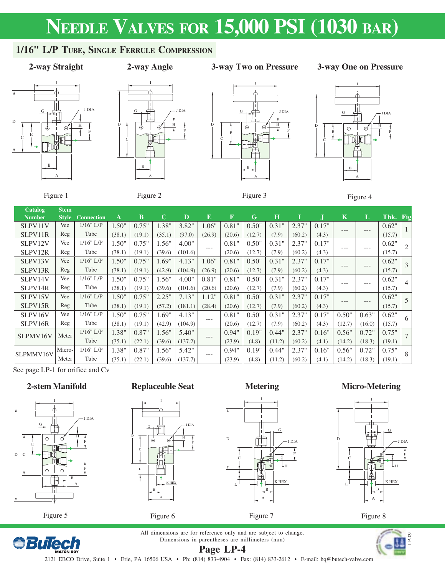# **NEEDLE VALVES FOR 15,000 PSI (1030 BAR)**

# **1/16" L/P TUBE, SINGLE FERRULE COMPRESSION**



## **2-way Straight 3-way Two on Pressure**

### **3-way One on Pressure**









Figure 1

Figure 2

Figure 3



| <b>Catalog</b> | <b>Stem</b>  |                   |        |          |             |         |          |                         |        |         |        |       |             |        |          |   |
|----------------|--------------|-------------------|--------|----------|-------------|---------|----------|-------------------------|--------|---------|--------|-------|-------------|--------|----------|---|
| <b>Number</b>  | <b>Style</b> | <b>Connection</b> | A      | $\bf{B}$ | $\mathbf C$ | D       | $\bf{E}$ | $\overline{\mathrm{F}}$ | G      | $\bf H$ |        |       | $\mathbf K$ | L      | Thk. Fig |   |
| SLPV11V        | Vee          | $1/16"$ L/P       | 1.50"  | 0.75"    | 1.38"       | 3.82"   | 1.06"    | 0.81"                   | 0.50"  | 0.31"   | 2.37"  | 0.17" | $---$       | $---$  | 0.62"    |   |
| SLPV11R        | Reg          | Tube              | (38.1) | (19.1)   | (35.1)      | (97.0)  | (26.9)   | (20.6)                  | (12.7) | (7.9)   | (60.2) | (4.3) |             |        | (15.7)   |   |
| SLPV12V        | Vee          | $1/16"$ L/P       | 1.50"  | 0.75"    | 1.56"       | 4.00"   | $---$    | 0.81"                   | 0.50"  | 0.31"   | 2.37"  | 0.17" | $---$       | $---$  | 0.62"    |   |
| SLPV12R        | Reg          | Tube              | (38.1) | (19.1)   | (39.6)      | (101.6) |          | (20.6)                  | (12.7) | (7.9)   | (60.2) | (4.3) |             |        | (15.7)   |   |
| SLPV13V        | Vee          | $1/16"$ L/P       | 1.50"  | 0.75"    | 1.69"       | 4.13"   | 1.06"    | 0.81"                   | 0.50"  | 0.31"   | 2.37"  | 0.17" |             |        | 0.62"    | 3 |
| SLPV13R        | Reg          | Tube              | (38.1) | (19.1)   | (42.9)      | (104.9) | (26.9)   | (20.6)                  | (12.7) | (7.9)   | (60.2) | (4.3) | $---$       | ---    | (15.7)   |   |
| SLPV14V        | Vee          | $1/16"$ L/P       | 1.50"  | 0.75"    | 1.56"       | 4.00"   | 0.81"    | 0.81"                   | 0.50"  | 0.31"   | 2.37"  | 0.17" | $---$       | ---    | 0.62"    | 4 |
| SLPV14R        | Reg          | Tube              | (38.1) | (19.1)   | (39.6)      | (101.6) | (20.6)   | (20.6)                  | (12.7) | (7.9)   | (60.2) | (4.3) |             |        | (15.7)   |   |
| SLPV15V        | Vee          | $1/16"$ L/P       | 1.50"  | 0.75"    | 2.25"       | 7.13"   | 1.12"    | 0.81"                   | 0.50"  | 0.31"   | 2.37"  | 0.17" | $---$       | ---    | 0.62"    |   |
| SLPV15R        | Reg          | Tube              | (38.1) | (19.1)   | (57.2)      | (181.1) | (28.4)   | (20.6)                  | (12.7) | (7.9)   | (60.2) | (4.3) |             |        | (15.7)   |   |
| SLPV16V        | Vee          | $1/16"$ L/P       | 1.50"  | 0.75"    | 1.69"       | 4.13"   | $---$    | 0.81"                   | 0.50"  | 0.31"   | 2.37"  | 0.17" | 0.50"       | 0.63"  | 0.62"    | 6 |
| SLPV16R        | Reg          | Tube              | (38.1) | (19.1)   | (42.9)      | (104.9) |          | (20.6)                  | (12.7) | (7.9)   | (60.2) | (4.3) | (12.7)      | (16.0) | (15.7)   |   |
| SLPMV16V       | Meter        | $1/16"$ L/P       | 1.38"  | 0.87"    | 1.56"       | 5.40"   |          | 0.94"                   | 0.19"  | 0.44"   | 2.37"  | 0.16" | 0.56"       | 0.72"  | 0.75"    |   |
|                |              | Tube              | (35.1) | (22.1)   | (39.6)      | (137.2) | $---$    | (23.9)                  | (4.8)  | (11.2)  | (60.2) | (4.1) | (14.2)      | (18.3) | (19.1)   |   |
| SLPMMV16V      | Micro-       | $1/16"$ L/P       | 1.38"  | 0.87"    | 1.56"       | 5.42"   | ---      | 0.94"                   | 0.19"  | 0.44"   | 2.37"  | 0.16" | 0.56"       | 0.72"  | 0.75"    | 8 |
|                | Meter        | Tube              | (35.1) | (22.1)   | (39.6)      | (137.7) |          | (23.9)                  | (4.8)  | (11.2)  | (60.2) | (4.1) | (14.2)      | (18.3) | (19.1)   |   |

See page LP-1 for orifice and Cv

### **2-stem Manifold**



**Replaceable Seat**

D



**Metering**



**Micro-Metering**



Figure 8



All dimensions are for reference only and are subject to change. Dimensions in parentheses are millimeters (mm) **Page LP-4**

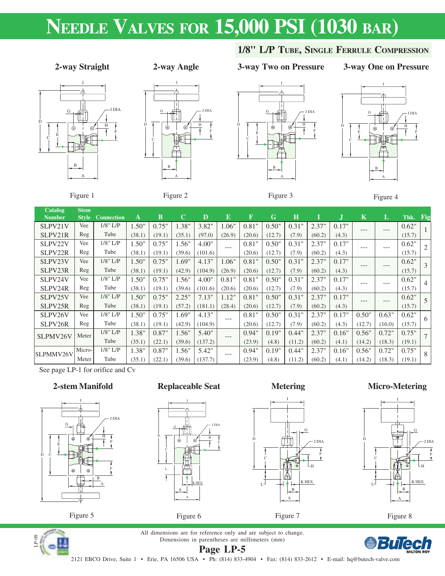# **NEEDLE VALVES FOR 15,000 PSI (1030 BAR)**



Figure 1

### **2-way Angle 2-way Straight 3-way Two on Pressure**



Figure 2



Figure 3



**3-way One on Pressure**

**1/8" L/P TUBE, SINGLE FERRULE COMPRESSION**



| <b>Catalog</b> | <b>Stem</b>  |                   |              |        |             |         |        |             |        |         |        |       |             |        |          |                |
|----------------|--------------|-------------------|--------------|--------|-------------|---------|--------|-------------|--------|---------|--------|-------|-------------|--------|----------|----------------|
| <b>Number</b>  | <b>Style</b> | <b>Connection</b> | $\mathbf{A}$ | В      | $\mathbf C$ | D       | E      | $\mathbf F$ | G      | $\bf H$ |        |       | $\mathbf K$ | L      | Thk. Fig |                |
| SLPV21V        | Vee          | $1/8$ " L/P       | 1.50"        | 0.75"  | 1.38"       | 3.82"   | 1.06"  | 0.81"       | 0.50"  | 0.31"   | 2.37"  | 0.17" | ---         | ---    | 0.62"    |                |
| SLPV21R        | Reg          | Tube              | (38.1)       | (19.1) | (35.1)      | (97.0)  | (26.9) | (20.6)      | (12.7) | (7.9)   | (60.2) | (4.3) |             |        | (15.7)   |                |
| SLPV22V        | Vee          | $1/8$ " L/P       | 1.50"        | 0.75"  | 1.56"       | 4.00"   | ---    | 0.81"       | 0.50"  | 0.31"   | 2.37"  | 0.17" | ---         | $---$  | 0.62"    |                |
| SLPV22R        | Reg          | Tube              | (38.1)       | (19.1) | (39.6)      | (101.6) |        | (20.6)      | (12.7) | (7.9)   | (60.2) | (4.3) |             |        | (15.7)   |                |
| SLPV23V        | Vee          | $1/8$ " L/P       | 1.50"        | 0.75"  | 1.69"       | 4.13"   | 1.06"  | 0.81"       | 0.50"  | 0.31"   | 2.37"  | 0.17" | $---$       | $---$  | 0.62"    | 3              |
| SLPV23R        | Reg          | Tube              | (38.1)       | (19.1) | (42.9)      | (104.9) | (26.9) | (20.6)      | (12.7) | (7.9)   | (60.2) | (4.3) |             |        | (15.7)   |                |
| SLPV24V        | Vee          | $1/8$ " L/P       | 1.50"        | 0.75"  | 1.56"       | 4.00"   | 0.81"  | 0.81"       | 0.50"  | 0.31"   | 2.37"  | 0.17" | ---         | $---$  | 0.62"    | $\overline{4}$ |
| SLPV24R        | Reg          | Tube              | (38.1)       | (19.1) | (39.6)      | (101.6) | (20.6) | (20.6)      | (12.7) | (7.9)   | (60.2) | (4.3) |             |        | (15.7)   |                |
| SLPV25V        | Vee          | $1/8$ " L/P       | 1.50"        | 0.75"  | 2.25"       | 7.13"   | 1.12"  | 0.81"       | 0.50"  | 0.31"   | 2.37"  | 0.17" | $---$       | $---$  | 0.62"    | 5              |
| SLPV25R        | Reg          | Tube              | (38.1)       | (19.1) | (57.2)      | (181.1) | (28.4) | (20.6)      | (12.7) | (7.9)   | (60.2) | (4.3) |             |        | (15.7)   |                |
| SLPV26V        | Vee          | $1/8$ " L/P       | 1.50"        | 0.75"  | 1.69"       | 4.13"   | ---    | 0.81"       | 0.50"  | 0.31"   | 2.37"  | 0.17" | 0.50"       | 0.63"  | 0.62"    | -6             |
| SLPV26R        | Reg          | Tube              | (38.1)       | (19.1) | (42.9)      | (104.9) |        | (20.6)      | (12.7) | (7.9)   | (60.2) | (4.3) | (12.7)      | (16.0) | (15.7)   |                |
| SLPMV26V       | Meter        | $1/8$ " L/P       | 1.38"        | 0.87"  | 1.56"       | 5.40"   | ---    | 0.94"       | 0.19"  | 0.44"   | 2.37"  | 0.16" | 0.56"       | 0.72"  | 0.75"    |                |
|                |              | Tube              | (35.1)       | (22.1) | (39.6)      | (137.2) |        | (23.9)      | (4.8)  | (11.2)  | (60.2) | (4.1) | (14.2)      | (18.3) | (19.1)   |                |
| SLPMMV26V      | Micro-       | $1/8$ " L/P       | 1.38"        | 0.87"  | 1.56"       | 5.42"   | $---$  | 0.94"       | 0.19"  | 0.44"   | 2.37"  | 0.16" | 0.56"       | 0.72"  | 0.75"    | -8             |
|                | Meter        | Tube              | (35.1)       | (22.1) | (39.6)      | (137.7) |        | (23.9)      | (4.8)  | (11.2)  | (60.2) | (4.1) | (14.2)      | (18.3) | (19.1)   |                |

See page LP-1 for orifice and Cv

## **2-stem Manifold**







H F

K HEX

D

C

L

Ŧ

B A

Figure 6

**Replaceable Seat**













**Page LP-5** All dimensions are for reference only and are subject to change. Dimensions in parentheses are millimeters (mm)



2121 EBCO Drive, Suite 1 • Erie, PA 16506 USA • Ph: (814) 833-4904 • Fax: (814) 833-2612 • E-mail: hq@butech-valve.com

D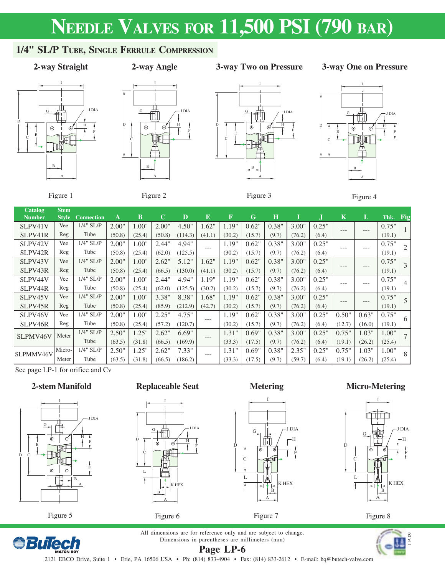# **NEEDLE VALVES FOR 11,500 PSI (790 BAR)**

# **1/4" SL/P TUBE, SINGLE FERRULE COMPRESSION**

**2-way Angle**

### **2-way Straight 3-way Two on Pressure**

### **3-way One on Pressure**









Figure 1

Figure 2

Figure 3



| <b>Catalog</b><br><b>Number</b> | <b>Stem</b><br><b>Style</b> | <b>Connection</b> | A      | $\bf{B}$ | $\mathbf C$ | $\mathbf{D}$ | E       | $\overline{\mathrm{F}}$ | G      | $\bf H$ |        |       | $\mathbf K$ | L      | Thk.   | Fig            |
|---------------------------------|-----------------------------|-------------------|--------|----------|-------------|--------------|---------|-------------------------|--------|---------|--------|-------|-------------|--------|--------|----------------|
| SLPV41V                         | Vee                         | $1/4$ " SL/P      | 2.00"  | 1.00"    | 2.00"       | 4.50"        | 1.62"   | 1.19"                   | 0.62"  | 0.38"   | 3.00"  | 0.25" | $---$       | ---    | 0.75"  |                |
| SLPV41R                         | Reg                         | Tube              | (50.8) | (25.4)   | (50.8)      | (114.3)      | (41.1)  | (30.2)                  | (15.7) | (9.7)   | (76.2) | (6.4) |             |        | (19.1) |                |
| SLPV42V                         | Vee                         | 1/4" SL/P         | 2.00"  | 1.00"    | 2.44"       | 4.94"        | $---$   | 1.19"                   | 0.62"  | 0.38"   | 3.00"  | 0.25" | $---$       | ---    | 0.75"  |                |
| SLPV42R                         | Reg                         | Tube              | (50.8) | (25.4)   | (62.0)      | (125.5)      |         | (30.2)                  | (15.7) | (9.7)   | (76.2) | (6.4) |             |        | (19.1) |                |
| SLPV43V                         | Vee                         | $1/4$ " SL/P      | 2.00"  | 1.00"    | 2.62"       | 5.12"        | 1.62"   | 1.19"                   | 0.62"  | 0.38"   | 3.00"  | 0.25" | $---$       | ---    | 0.75"  | 3              |
| SLPV43R                         | Reg                         | Tube              | (50.8) | (25.4)   | (66.5)      | (130.0)      | (41.1)  | (30.2)                  | (15.7) | (9.7)   | (76.2) | (6.4) |             |        | (19.1) |                |
| SLPV44V                         | Vee                         | 1/4" SL/P         | 2.00"  | 1.00"    | 2.44"       | 4.94"        | 1.19"   | 1.19"                   | 0.62"  | 0.38"   | 3.00"  | 0.25" | $---$       | ---    | 0.75"  | $\overline{4}$ |
| SLPV44R                         | Reg                         | Tube              | (50.8) | (25.4)   | (62.0)      | (125.5)      | (30.2)  | (30.2)                  | (15.7) | (9.7)   | (76.2) | (6.4) |             |        | (19.1) |                |
| SLPV45V                         | Vee                         | 1/4" SL/P         | 2.00"  | 1.00"    | 3.38"       | 8.38"        | 1.68"   | 1.19"                   | 0.62"  | 0.38"   | 3.00"  | 0.25" | $---$       | ---    | 0.75"  |                |
| SLPV45R                         | Reg                         | Tube              | (50.8) | (25.4)   | (85.9)      | (212.9)      | (42.7)  | (30.2)                  | (15.7) | (9.7)   | (76.2) | (6.4) |             |        | (19.1) |                |
| SLPV46V                         | Vee                         | 1/4" SL/P         | 2.00"  | 1.00"    | 2.25"       | 4.75"        | $- - -$ | 1.19"                   | 0.62"  | 0.38"   | 3.00"  | 0.25" | 0.50"       | 0.63"  | 0.75"  | 6              |
| SLPV46R                         | Reg                         | Tube              | (50.8) | (25.4)   | (57.2)      | (120.7)      |         | (30.2)                  | (15.7) | (9.7)   | (76.2) | (6.4) | (12.7)      | (16.0) | (19.1) |                |
| SLPMV46V                        | Meter                       | 1/4" SL/P         | 2.50"  | 1.25"    | 2.62"       | 6.69"        | $---$   | 1.31"                   | 0.69"  | 0.38"   | 3.00"  | 0.25" | 0.75"       | 1.03"  | 1.00"  | $\tau$         |
|                                 |                             | Tube              | (63.5) | (31.8)   | (66.5)      | (169.9)      |         | (33.3)                  | (17.5) | (9.7)   | (76.2) | (6.4) | (19.1)      | (26.2) | (25.4) |                |
| SLPMMV46V                       | Micro-                      | $1/4$ " SL/P      | 2.50"  | 1.25"    | 2.62"       | 7.33"        | $---$   | 1.31"                   | 0.69"  | 0.38"   | 2.35"  | 0.25" | 0.75"       | 1.03"  | 1.00"  | 8              |
|                                 | Meter                       | Tube              | (63.5) | (31.8)   | (66.5)      | (186.2)      |         | (33.3)                  | (17.5) | (9.7)   | (59.7) | (6.4) | (19.1)      | (26.2) | (25.4) |                |

See page LP-1 for orifice and Cv

### **2-stem Manifold**



**Replaceable Seat**











Figure 8



All dimensions are for reference only and are subject to change. Dimensions in parentheses are millimeters (mm) **Page LP-6**

D

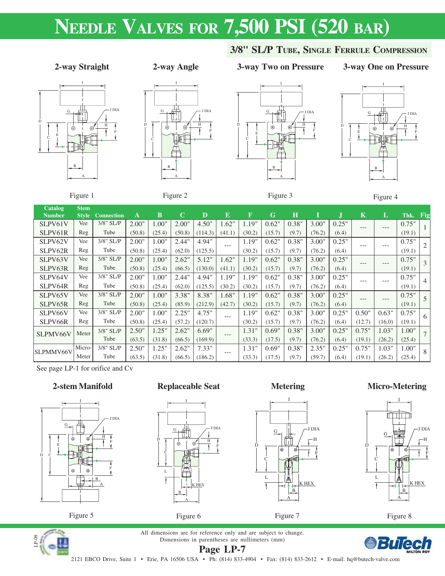# **NEEDLE VALVES FOR 7,500 PSI (520 BAR)**

## **2-way Straight 3-way Two on Pressure**



Figure 1

 $\mathbf{C}$ 

### **2-way Angle**



Figure 2

# I D C E G H



**3/8" SL/P TUBE, SINGLE FERRULE COMPRESSION**

H G F B A J DIA

**3-way One on Pressure**

Figure 3

B A

Figure 4

| Catalog       | <b>Stem</b>  |                   |        |        |             |         |        |        |        |         |        |       |             |        |        |                |
|---------------|--------------|-------------------|--------|--------|-------------|---------|--------|--------|--------|---------|--------|-------|-------------|--------|--------|----------------|
| <b>Number</b> | <b>Style</b> | <b>Connection</b> | A      | В      | $\mathbf C$ | D       | E      | F      | G      | $\bf H$ |        |       | $\mathbf K$ | L      | Thk.   | Fig            |
| SLPV61V       | Vee          | 3/8" SL/P         | 2.00"  | 1.00"  | 2.00"       | 4.50"   | 1.62"  | 1.19"  | 0.62"  | 0.38"   | 3.00"  | 0.25" | ---         | ---    | 0.75"  |                |
| SLPV61R       | Reg          | Tube              | (50.8) | (25.4) | (50.8)      | (114.3) | (41.1) | (30.2) | (15.7) | (9.7)   | (76.2) | (6.4) |             |        | (19.1) |                |
| SLPV62V       | Vee          | 3/8" SL/P         | 2.00"  | 1.00"  | 2.44"       | 4.94"   | $---$  | 1.19"  | 0.62"  | 0.38"   | 3.00"  | 0.25" | ---         | $---$  | 0.75"  |                |
| SLPV62R       | Reg          | Tube              | (50.8) | (25.4) | (62.0)      | (125.5) |        | (30.2) | (15.7) | (9.7)   | (76.2) | (6.4) |             |        | (19.1) |                |
| SLPV63V       | Vee          | 3/8" SL/P         | 2.00"  | 1.00"  | 2.62"       | 5.12"   | 1.62"  | 1.19"  | 0.62"  | 0.38"   | 3.00"  | 0.25" | $---$       | $---$  | 0.75"  |                |
| SLPV63R       | Reg          | Tube              | (50.8) | (25.4) | (66.5)      | (130.0) | (41.1) | (30.2) | (15.7) | (9.7)   | (76.2) | (6.4) |             |        | (19.1) |                |
| SLPV64V       | Vee          | $3/8$ " SL/P      | 2.00"  | 1.00"  | 2.44"       | 4.94"   | 1.19"  | 1.19"  | 0.62"  | 0.38"   | 3.00"  | 0.25" | ---         | $---$  | 0.75"  | $\overline{4}$ |
| SLPV64R       | Reg          | Tube              | (50.8) | (25.4) | (62.0)      | (125.5) | (30.2) | (30.2) | (15.7) | (9.7)   | (76.2) | (6.4) |             |        | (19.1) |                |
| SLPV65V       | Vee          | 3/8" SL/P         | 2.00"  | 1.00"  | 3.38"       | 8.38"   | 1.68"  | 1.19"  | 0.62"  | 0.38"   | 3.00"  | 0.25" | ---         | $---$  | 0.75"  | .5             |
| SLPV65R       | Reg          | Tube              | (50.8) | (25.4) | (85.9)      | (212.9) | (42.7) | (30.2) | (15.7) | (9.7)   | (76.2) | (6.4) |             |        | (19.1) |                |
| SLPV66V       | Vee          | 3/8" SL/P         | 2.00"  | 1.00"  | 2.25"       | 4.75"   | $---$  | 1.19"  | 0.62"  | 0.38"   | 3.00"  | 0.25" | 0.50"       | 0.63"  | 0.75"  | -6             |
| SLPV66R       | Reg          | Tube              | (50.8) | (25.4) | (57.2)      | (120.7) |        | (30.2) | (15.7) | (9.7)   | (76.2) | (6.4) | (12.7)      | (16.0) | (19.1) |                |
| SLPMV66V      | Meter        | $3/8$ " SL/P      | 2.50"  | 1.25"  | 2.62"       | 6.69"   |        | 1.31"  | 0.69"  | 0.38"   | 3.00"  | 0.25" | 0.75"       | 1.03"  | 1.00"  |                |
|               |              | Tube              | (63.5) | (31.8) | (66.5)      | (169.9) |        | (33.3) | (17.5) | (9.7)   | (76.2) | (6.4) | (19.1)      | (26.2) | (25.4) |                |
| SLPMMV66V     | Micro-       | $3/8$ " SL/P      | 2.50"  | 1.25"  | 2.62"       | 7.33"   | $---$  | 1.31"  | 0.69"  | 0.38"   | 2.35"  | 0.25" | 0.75"       | 1.03"  | 1.00"  | -8             |
|               | Meter        | Tube              | (63.5) | (31.8) | (66.5)      | (186.2) |        | (33.3) | (17.5) | (9.7)   | (59.7) | (6.4) | (19.1)      | (26.2) | (25.4) |                |

See page LP-1 for orifice and Cv

## **2-stem Manifold**







# $G \perp$ # $\uparrow$   $\uparrow$ JDIA  $P$   $\Gamma$   $\Gamma$   $\gamma$   $\overline{\gamma}$   $\overline{\mu}$ F C L Ŧ K HEX B A

Figure 6

### **Metering**







Figure 8



**Page LP-7** All dimensions are for reference only and are subject to change. Dimensions in parentheses are millimeters (mm)

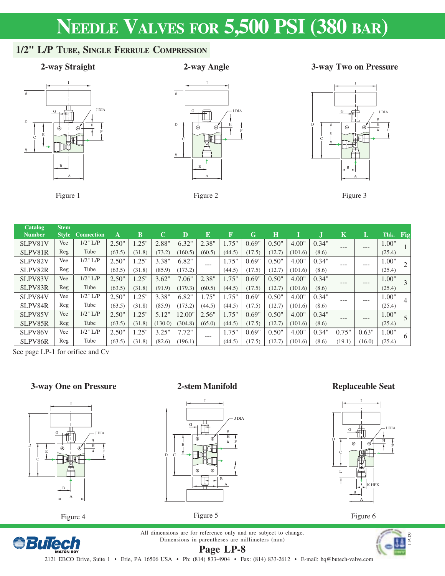# **NEEDLE VALVES FOR 5,500 PSI (380 BAR)**

# **1/2" L/P TUBE, SINGLE FERRULE COMPRESSION**



### Figure 1

## **2-way Angle**

## **2-way Straight 3-way Two on Pressure**



Figure 2



Figure 3

| Catalog       | <b>Stem</b>  |                   |        |          |             |         |        |             |        |         |         |       |             |         |        |                |
|---------------|--------------|-------------------|--------|----------|-------------|---------|--------|-------------|--------|---------|---------|-------|-------------|---------|--------|----------------|
| <b>Number</b> | <b>Style</b> | <b>Connection</b> | A      | B        | $\mathbf C$ | D       | E      | $\mathbf F$ | G      | $\bf H$ |         |       | $\mathbf K$ | L       | Thk.   | Fig            |
| SLPV81V       | Vee          | $1/2$ " $L/P$     | 2.50"  | .25"     | 2.88"       | 6.32"   | 2.38"  | $1.75$ "    | 0.69"  | 0.50"   | 4.00"   | 0.34" | ---         | ---     | 1.00"  |                |
| SLPV81R       | Reg          | Tube              | (63.5) | (31.8)   | (73.2)      | (160.5) | (60.5) | (44.5)      | (17.5) | (12.7)  | (101.6) | (8.6) |             |         | (25.4) |                |
| SLPV82V       | Vee          | $1/2$ " $L/P$     | 2.50"  | 1.25"    | 3.38"       | 6.82"   | $---$  | 1.75"       | 0.69"  | 0.50"   | 4.00"   | 0.34" | $- - -$     | ---     | 1.00"  |                |
| SLPV82R       | Reg          | Tube              | (63.5) | (31.8)   | (85.9)      | (173.2) |        | (44.5)      | (17.5) | (12.7)  | (101.6) | (8.6) |             |         | (25.4) |                |
| SLPV83V       | Vee          | $1/2$ " $L/P$     | 2.50"  | 1.25"    | 3.62"       | 7.06"   | 2.38"  | 1.75"       | 0.69"  | 0.50"   | 4.00"   | 0.34" | ---         | ---     | 1.00"  |                |
| SLPV83R       | Reg          | Tube              | (63.5) | (31.8)   | (91.9)      | (179.3) | (60.5) | (44.5)      | (17.5) | (12.7)  | (101.6) | (8.6) |             |         | (25.4) |                |
| SLPV84V       | Vee          | $1/2$ " $L/P$     | 2.50"  | 1.25"    | 3.38"       | 6.82"   | 1.75"  | 1.75"       | 0.69"  | 0.50"   | 4.00"   | 0.34" | ---         | ---     | 1.00"  | $\overline{4}$ |
| SLPV84R       | Reg          | Tube              | (63.5) | (31.8)   | (85.9)      | (173.2) | (44.5) | (44.5)      | (17.5) | (12.7)  | (101.6) | (8.6) |             |         | (25.4) |                |
| SLPV85V       | Vee          | $1/2$ " $L/P$     | 2.50"  | $1.25$ " | 5.12"       | 12.00"  | 2.56"  | 1.75"       | 0.69"  | 0.50"   | 4.00"   | 0.34" | $- - -$     | $- - -$ | 1.00"  |                |
| SLPV85R       | Reg          | Tube              | (63.5) | (31.8)   | (130.0)     | (304.8) | (65.0) | (44.5)      | (17.5) | (12.7)  | (101.6) | (8.6) |             |         | (25.4) |                |
| SLPV86V       | Vee          | $1/2$ " $L/P$     | 2.50"  | 1.25"    | 3.25"       | 7.72"   | $---$  | 1.75"       | 0.69"  | 0.50"   | 4.00"   | 0.34" | 0.75"       | 0.63"   | 1.00"  | 6              |
| SLPV86R       | Reg          | Tube              | (63.5) | (31.8)   | (82.6)      | (196.1) |        | (44.5)      | (17.5) | (12.7)  | (101.6) | (8.6) | (19.1)      | (16.0)  | (25.4) |                |

See page LP-1 for orifice and Cv

## **3-way One on Pressure**



Figure 4

*<u>BuTech</u>* 

### **2-stem Manifold**



### **Replaceable Seat**



Figure 6

All dimensions are for reference only and are subject to change. Dimensions in parentheses are millimeters (mm) **Page LP-8**

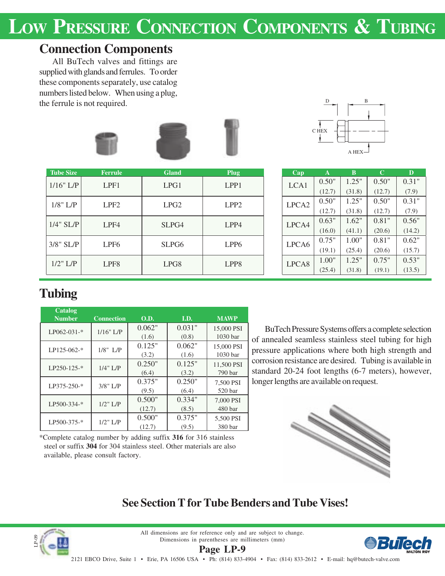# LOW PRESSURE CONNECTION COMPONENTS & TUBING

# **Connection Components**

All BuTech valves and fittings are supplied with glands and ferrules. To order these components separately, use catalog numbers listed below. When using a plug, the ferrule is not required.





| <b>Tube Size</b> | <b>Ferrule</b>   | <b>Gland</b>      | Plug             | Cap               | $\mathbf{A}$ | B      | $\mathbf C$ | D      |
|------------------|------------------|-------------------|------------------|-------------------|--------------|--------|-------------|--------|
| $1/16"$ L/P      | LPF1             | LPG1              | LPP1             | LCA1              | 0.50"        | 1.25"  | 0.50"       | 0.31"  |
|                  |                  |                   |                  |                   | (12.7)       | (31.8) | (12.7)      | (7.9)  |
| $1/8$ " L/P      | LPF <sub>2</sub> | LPG2              | LPP <sub>2</sub> | LPCA <sub>2</sub> | 0.50"        | 1.25"  | 0.50"       | 0.31"  |
|                  |                  |                   |                  |                   | (12.7)       | (31.8) | (12.7)      | (7.9)  |
| $1/4$ " SL/P     | LPF4             | SLPG4             | LPP4             | LPCA4             | 0.63"        | 1.62"  | 0.81"       | 0.56"  |
|                  |                  |                   |                  |                   | (16.0)       | (41.1) | (20.6)      | (14.2) |
| $3/8$ " SL/P     | LPF <sub>6</sub> | SLPG <sub>6</sub> | LPP <sub>6</sub> | LPCA6             | 0.75"        | 1.00"  | 0.81"       | 0.62"  |
|                  |                  |                   |                  |                   | (19.1)       | (25.4) | (20.6)      | (15.7) |
| $1/2$ " L/P      | LPF <sub>8</sub> | LPG8              | LPP <sub>8</sub> | LPCA8             | 1.00"        | 1.25"  | 0.75"       | 0.53"  |
|                  |                  |                   |                  |                   | (25.4)       | (31.8) | (19.1)      | (13.5) |

| Cap               | A      | B      | C      | D      |
|-------------------|--------|--------|--------|--------|
| LCA <sub>1</sub>  | 0.50"  | 1.25"  | 0.50"  | 0.31"  |
|                   | (12.7) | (31.8) | (12.7) | (7.9)  |
| LPCA <sub>2</sub> | 0.50"  | 1.25"  | 0.50"  | 0.31"  |
|                   | (12.7) | (31.8) | (12.7) | (7.9)  |
| LPCA4             | 0.63"  | 1.62"  | 0.81"  | 0.56"  |
|                   | (16.0) | (41.1) | (20.6) | (14.2) |
| LPCA <sub>6</sub> | 0.75"  | 1.00"  | 0.81"  | 0.62"  |
|                   | (19.1) | (25.4) | (20.6) | (15.7) |
| LPCA <sub>8</sub> | 1.00"  | 1.25"  | 0.75"  | 0.53"  |
|                   | (25.4) | (31.8) | (19.1) | (13.5) |

# **Tubing**

| <b>Catalog</b><br><b>Number</b> | <b>Connection</b> | <b>O.D.</b>      | I.D.            | <b>MAWP</b>                       |
|---------------------------------|-------------------|------------------|-----------------|-----------------------------------|
| $LP062-031-*$                   | $1/16"$ L/P       | 0.062"<br>(1.6)  | 0.031"<br>(0.8) | 15,000 PSI<br>1030 <sub>bar</sub> |
| LP125-062-*                     | 1/8" L/P          | 0.125"<br>(3.2)  | 0.062"<br>(1.6) | 15,000 PSI<br>1030 <sub>bar</sub> |
| $LP250-125-*$                   | $1/4$ " $L/P$     | 0.250"<br>(6.4)  | 0.125"<br>(3.2) | 11,500 PSI<br>790 bar             |
| LP375-250-*                     | $3/8$ " L/P       | 0.375"<br>(9.5)  | 0.250"<br>(6.4) | 7,500 PSI<br>520 bar              |
| LP500-334-*                     | $1/2$ " L/P       | 0.500"<br>(12.7) | 0.334"<br>(8.5) | 7,000 PSI<br>480 bar              |
| LP500-375-*                     | $1/2$ " L/P       | 0.500"<br>(12.7) | 0.375"<br>(9.5) | 5,500 PSI<br>380 bar              |

\*Complete catalog number by adding suffix **316** for 316 stainless steel or suffix **304** for 304 stainless steel. Other materials are also

available, please consult factory.

BuTech Pressure Systems offers a complete selection of annealed seamless stainless steel tubing for high pressure applications where both high strength and corrosion resistance are desired. Tubing is available in standard 20-24 foot lengths (6-7 meters), however, longer lengths are available on request.



# **See Section T for Tube Benders and Tube Vises!**



All dimensions are for reference only and are subject to change. Dimensions in parentheses are millimeters (mm) **Page LP-9**

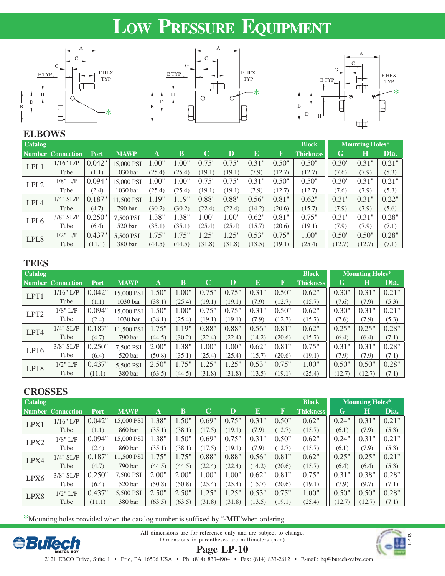# **LOW PRESSURE EQUIPMENT**







# **ELBOWS**

| <b>Catalog</b>   |                   |        |             |        |        |        |        |           |        | <b>Block</b>     |        | <b>Mounting Holes*</b> |       |
|------------------|-------------------|--------|-------------|--------|--------|--------|--------|-----------|--------|------------------|--------|------------------------|-------|
|                  | Number Connection | Port   | <b>MAWP</b> | A      | B      | C      | D      | ${\bf E}$ | F      | <b>Thickness</b> | G      | Н                      | Dia.  |
| LPL1             | 1/16" L/P         | 0.042" | 15,000 PSI  | 1.00"  | 1.00"  | 0.75"  | 0.75"  | 0.31"     | 0.50"  | 0.50"            | 0.30"  | 0.31"                  | 0.21" |
|                  | Tube              | (1.1)  | 1030 bar    | (25.4) | (25.4) | (19.1) | (19.1) | (7.9)     | (12.7) | (12.7)           | (7.6)  | (7.9)                  | (5.3) |
| LPL <sub>2</sub> | $1/8$ " L/P       | 0.094" | 15,000 PSI  | 1.00"  | 1.00"  | 0.75"  | 0.75"  | 0.31"     | 0.50"  | 0.50"            | 0.30"  | 0.31"                  | 0.21" |
|                  | Tube              | (2.4)  | 1030 bar    | (25.4) | (25.4) | (19.1) | (19.1) | (7.9)     | (12.7) | (12.7)           | (7.6)  | (7.9)                  | (5.3) |
| LPL4             | $1/4$ " SL/P      | 0.187" | 11.500 PSI  | 1.19"  | 1.19"  | 0.88"  | 0.88"  | 0.56"     | 0.81"  | 0.62"            | 0.31"  | 0.31"                  | 0.22" |
|                  | Tube              | (4.7)  | 790 bar     | (30.2) | (30.2) | (22.4) | (22.4) | (14.2)    | (20.6) | (15.7)           | (7.9)  | (7.9)                  | (5.6) |
| LPL <sub>6</sub> | $3/8$ " SL/P      | 0.250" | 7,500 PSI   | 1.38"  | 1.38"  | 1.00"  | 1.00"  | 0.62"     | 0.81"  | 0.75"            | 0.31"  | 0.31"                  | 0.28" |
|                  | Tube              | (6.4)  | 520 bar     | (35.1) | (35.1) | (25.4) | (25.4) | (15.7)    | (20.6) | (19.1)           | (7.9)  | (7.9)                  | (7.1) |
| LPL <sub>8</sub> | $1/2$ " $L/P$     | 0.437" | 5.500 PSI   | 1.75"  | 1.75"  | 1.25"  | 1.25"  | 0.53"     | 0.75"  | 1.00"            | 0.50"  | 0.50"                  | 0.28" |
|                  | Tube              | (11.1) | 380 bar     | (44.5) | (44.5) | (31.8) | (31.8) | (13.5)    | (19.1) | (25.4)           | (12.7) | (12.7)                 | (7.1) |

## **TEES**

| <b>Catalog</b>   | <b>Block</b>      |        |                     |        |          |        |        | <b>Mounting Holes*</b> |        |                  |        |        |       |
|------------------|-------------------|--------|---------------------|--------|----------|--------|--------|------------------------|--------|------------------|--------|--------|-------|
|                  | Number Connection | Port   | <b>MAWP</b>         | A      | B        | C      | D      | ${\bf E}$              | F      | <b>Thickness</b> | G      | Н      | Dia.  |
| LPT1             | 1/16" L/P         | 0.042" | 15,000 PSI          | 1.50"  | 1.00"    | 0.75"  | 0.75"  | 0.31"                  | 0.50"  | 0.62"            | 0.30"  | 0.31"  | 0.21" |
|                  | Tube              | (1.1)  | 1030 bar            | (38.1) | (25.4)   | (19.1) | (19.1) | (7.9)                  | (12.7) | (15.7)           | (7.6)  | (7.9)  | (5.3) |
| LPT <sub>2</sub> | $1/8$ " L/P       | 0.094" | 15,000 PSI          | 1.50"  | 1.00"    | 0.75"  | 0.75"  | 0.31"                  | 0.50"  | 0.62"            | 0.30"  | 0.31"  | 0.21" |
|                  | Tube              | (2.4)  | 1030 <sub>bar</sub> | (38.1) | (25.4)   | (19.1) | (19.1) | (7.9)                  | (12.7) | (15.7)           | (7.6)  | (7.9)  | (5.3) |
| LPT4             | $1/4$ " SL/P      | 0.187" | 11.500 PSI          | 1.75"  | 1.19"    | 0.88"  | 0.88"  | 0.56"                  | 0.81"  | 0.62"            | 0.25"  | 0.25"  | 0.28" |
|                  | Tube              | (4.7)  | 790 bar             | (44.5) | (30.2)   | (22.4) | (22.4) | (14.2)                 | (20.6) | (15.7)           | (6.4)  | (6.4)  | (7.1) |
| LPT <sub>6</sub> | $3/8$ " SL/P      | 0.250" | 7.500 PSI           | 2.00"  | 1.38"    | 1.00"  | 1.00"  | 0.62"                  | 0.81"  | 0.75"            | 0.31"  | 0.31"  | 0.28" |
|                  | Tube              | (6.4)  | 520 bar             | (50.8) | (35.1)   | (25.4) | (25.4) | (15.7)                 | (20.6) | (19.1)           | (7.9)  | (7.9)  | (7.1) |
| LPT8             | $1/2$ " L/P       | 0.437" | 5,500 PSI           | 2.50"  | $1.75$ " | 1.25"  | 1.25"  | 0.53"                  | 0.75"  | 1.00"            | 0.50"  | 0.50"  | 0.28" |
|                  | Tube              | (11.1) | 380 bar             | (63.5) | (44.5)   | (31.8) | (31.8) | (13.5)                 | (19.1) | (25.4)           | (12.7) | (12.7) | (7.1) |

# **CROSSES**

| <b>Catalog</b> |                          |        |             |        |        |             |          |        |             | <b>Block</b>     |        | <b>Mounting Holes*</b> |       |
|----------------|--------------------------|--------|-------------|--------|--------|-------------|----------|--------|-------------|------------------|--------|------------------------|-------|
|                | <b>Number Connection</b> | Port   | <b>MAWP</b> | A      | B      | $\mathbf C$ | D        | E      | $\mathbf F$ | <b>Thickness</b> | G      | Н                      | Dia.  |
| LPX1           | 1/16" L/P                | 0.042" | 15,000 PSI  | .38"   | 1.50"  | 0.69"       | 0.75"    | 0.31"  | 0.50"       | 0.62"            | 0.24"  | 0.31"                  | 0.21" |
|                | Tube                     | (1.1)  | 860 bar     | (35.1) | (38.1) | (17.5)      | (19.1)   | (7.9)  | (12.7)      | (15.7)           | (6.1)  | (7.9)                  | (5.3) |
| LPX2           | $1/8$ " L/P              | 0.094" | 15,000 PSI  | .38"   | 1.50"  | 0.69"       | 0.75"    | 0.31"  | 0.50"       | 0.62"            | 0.24"  | 0.31"                  | 0.21" |
|                | Tube                     | (2.4)  | 860 bar     | (35.1) | (38.1) | (17.5)      | (19.1)   | (7.9)  | (12.7)      | (15.7)           | (6.1)  | (7.9)                  | (5.3) |
| LPX4           | $1/4$ " SL/P             | 0.187" | 11,500 PSI  | .75"   | .75"   | 0.88"       | 0.88"    | 0.56"  | 0.81"       | 0.62"            | 0.25"  | 0.25"                  | 0.21" |
|                | Tube                     | (4.7)  | 790 bar     | (44.5) | (44.5) | (22.4)      | (22.4)   | (14.2) | (20.6)      | (15.7)           | (6.4)  | (6.4)                  | (5.3) |
| LPX6           | $3/8$ " SL/P             | 0.250" | 7,500 PSI   | 2.00"  | 2.00"  | 1.00"       | 1.00"    | 0.62"  | 0.81"       | 0.75"            | 0.31"  | 0.38"                  | 0.28" |
|                | Tube                     | (6.4)  | 520 bar     | (50.8) | (50.8) | (25.4)      | (25.4)   | (15.7) | (20.6)      | (19.1)           | (7.9)  | (9.7)                  | (7.1) |
| LPX8           | $1/2$ " $L/P$            | 0.437" | 5,500 PSI   | 2.50"  | 2.50"  | 1.25"       | $1.25$ " | 0.53"  | 0.75"       | 1.00"            | 0.50"  | 0.50"                  | 0.28" |
|                | Tube                     | (11.1) | 380 bar     | (63.5) | (63.5) | (31.8)      | (31.8)   | (13.5) | (19.1)      | (25.4)           | (12.7) | (12.7)                 | (7.1) |

**\***Mounting holes provided when the catalog number is suffixed by "**-MH**"when ordering.





**Page LP-10**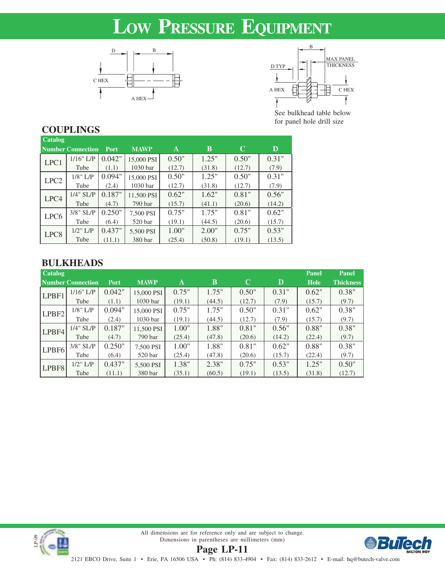# **LOW PRESSURE EQUIPMENT**





See bulkhead table below for panel hole drill size

# **COUPLINGS**

| <b>Catalog</b>   |                          |        |                     |        |        |        |        |
|------------------|--------------------------|--------|---------------------|--------|--------|--------|--------|
|                  | <b>Number Connection</b> | Port   | <b>MAWP</b>         | A      | B      | C      | D      |
| LPC1             | $1/16"$ L/P              | 0.042" | 15,000 PSI          | 0.50"  | 1.25"  | 0.50"  | 0.31"  |
|                  | Tube                     | (1.1)  | 1030 <sub>bar</sub> | (12.7) | (31.8) | (12.7) | (7.9)  |
| LPC <sub>2</sub> | $1/8$ " $L/P$            | 0.094" | 15,000 PSI          | 0.50"  | 1.25"  | 0.50"  | 0.31"  |
|                  | Tube                     | (2.4)  | 1030 bar            | (12.7) | (31.8) | (12.7) | (7.9)  |
| LPC4             | $1/4$ " SL/P             | 0.187" | 11,500 PSI          | 0.62"  | 1.62"  | 0.81"  | 0.56"  |
|                  | Tube                     | (4.7)  | 790 bar             | (15.7) | (41.1) | (20.6) | (14.2) |
| LPC <sub>6</sub> | $3/8$ " SL/P             | 0.250" | 7.500 PSI           | 0.75"  | 1.75"  | 0.81"  | 0.62"  |
|                  | Tube                     | (6.4)  | 520 <sub>bar</sub>  | (19.1) | (44.5) | (20.6) | (15.7) |
| LPC <sub>8</sub> | $1/2$ " L/P              | 0.437" | 5,500 PSI           | 1.00"  | 2.00"  | 0.75"  | 0.53"  |
|                  | Tube                     | (11.1) | 380 bar             | (25.4) | (50.8) | (19.1) | (13.5) |

# **BULKHEADS**

| <b>Catalog</b>    |                          |             |                     |        |        |        |        | Panel       | Panel            |
|-------------------|--------------------------|-------------|---------------------|--------|--------|--------|--------|-------------|------------------|
|                   | <b>Number Connection</b> | <b>Port</b> | <b>MAWP</b>         | A      | B      | C      | D      | <b>Hole</b> | <b>Thickness</b> |
| LPBF1             | $1/16$ " L/P             | 0.042"      | 15,000 PSI          | 0.75"  | 1.75"  | 0.50"  | 0.31"  | 0.62"       | 0.38"            |
|                   | Tube                     | (1.1)       | 1030 <sub>bar</sub> | (19.1) | (44.5) | (12.7) | (7.9)  | (15.7)      | (9.7)            |
| LPBF <sub>2</sub> | $1/8$ " L/P              | 0.094"      | 15,000 PSI          | 0.75"  | 1.75"  | 0.50"  | 0.31"  | 0.62"       | 0.38"            |
|                   | Tube                     | (2.4)       | 1030 <sub>bar</sub> | (19.1) | (44.5) | (12.7) | (7.9)  | (15.7)      | (9.7)            |
| LPBF4             | $1/4$ " SL/P             | 0.187"      | 11,500 PSI          | 1.00"  | 1.88"  | 0.81"  | 0.56"  | 0.88"       | 0.38"            |
|                   | Tube                     | (4.7)       | 790 bar             | (25.4) | (47.8) | (20.6) | (14.2) | (22.4)      | (9.7)            |
| LPBF <sub>6</sub> | $3/8$ " SL/P             | 0.250"      | 7,500 PSI           | 1.00"  | 1.88"  | 0.81"  | 0.62"  | 0.88"       | 0.38"            |
|                   | Tube                     | (6.4)       | 520 bar             | (25.4) | (47.8) | (20.6) | (15.7) | (22.4)      | (9.7)            |
| LPBF8             | $1/2$ " $L/P$            | 0.437"      | 5,500 PSI           | 1.38"  | 2.38"  | 0.75"  | 0.53"  | 1.25"       | 0.50"            |
|                   | Tube                     | (11.1)      | 380 bar             | (35.1) | (60.5) | (19.1) | (13.5) | (31.8)      | (12.7)           |



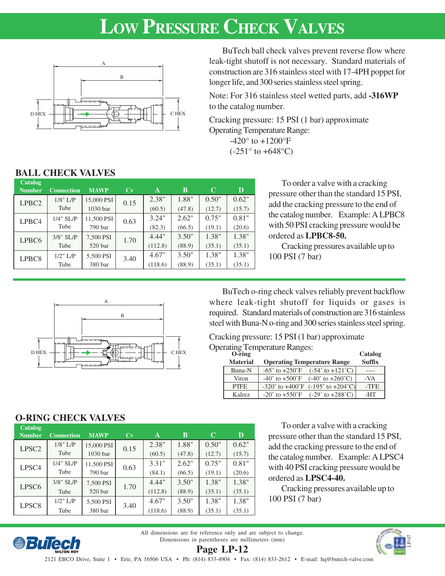# **LOW PRESSURE CHECK VALVES**



BuTech ball check valves prevent reverse flow where leak-tight shutoff is not necessary. Standard materials of construction are 316 stainless steel with 17-4PH poppet for longer life, and 300 series stainless steel spring.

Note: For 316 stainless steel wetted parts, add **-316WP** to the catalog number.

Cracking pressure: 15 PSI (1 bar) approximate Operating Temperature Range:  $-420^{\circ}$  to  $+1200^{\circ}$ F

 $(-251^{\circ}$  to  $+648^{\circ}$ C)

# **BALL CHECK VALVES**

| <b>Catalog</b><br><b>Number</b> | <b>Connection</b> | <b>MAWP</b> | Cv   | A       | B      | C      | D      |
|---------------------------------|-------------------|-------------|------|---------|--------|--------|--------|
| LPBC <sub>2</sub>               | $1/8$ " L/P       | 15,000 PSI  | 0.15 | 2.38"   | 1.88"  | 0.50"  | 0.62"  |
|                                 | Tube              | 1030 bar    |      | (60.5)  | (47.8) | (12.7) | (15.7) |
| LPBC4                           | $1/4$ " SL/P      | 11,500 PSI  | 0.63 | 3.24"   | 2.62"  | 0.75"  | 0.81"  |
|                                 | Tube              | 790 bar     |      | (82.3)  | (66.5) | (19.1) | (20.6) |
| LPBC <sub>6</sub>               | $3/8$ " SL/P      | 7,500 PSI   | 1.70 | 4.44"   | 3.50"  | 1.38"  | 1.38"  |
|                                 | Tube              | 520 bar     |      | (112.8) | (88.9) | (35.1) | (35.1) |
| LPBC <sub>8</sub>               | $1/2$ " L/P       | 5,500 PSI   | 3.40 | 4.67"   | 3.50"  | 1.38"  | 1.38"  |
|                                 | Tube              | 380 bar     |      | (118.6) | (88.9) | (35.1) | (35.1) |

To order a valve with a cracking pressure other than the standard 15 PSI, add the cracking pressure to the end of the catalog number. Example: A LPBC8 with 50 PSI cracking pressure would be ordered as **LPBC8-50.**

Cracking pressures available up to 100 PSI (7 bar)



BuTech o-ring check valves reliably prevent backflow where leak-tight shutoff for liquids or gases is required. Standard materials of construction are 316 stainless steel with Buna-N o-ring and 300 series stainless steel spring.

## Cracking pressure: 15 PSI (1 bar) approximate

**Operating Temperature Ranges:** 

| O-ring          |                                                                          | Catalog       |
|-----------------|--------------------------------------------------------------------------|---------------|
| <b>Material</b> | <b>Operating Temperature Range</b>                                       | <b>Suffix</b> |
| Buna-N          | $-65^{\circ}$ to $+250^{\circ}$ F<br>$(-54° to +121°C)$                  |               |
| Viton           | $-40^{\circ}$ to $+500^{\circ}$ F<br>$(-40^{\circ}$ to $+260^{\circ}$ C) | -VA           |
| <b>PTFE</b>     | $-320^{\circ}$ to $+400^{\circ}$ F $(-195^{\circ}$ to $+204^{\circ}$ C)  | -TFE          |
| Kalrez          | $-20^{\circ}$ to $+550^{\circ}$ F<br>$(-29° to +288°C)$                  | -HT           |

# **O-RING CHECK VALVES**

*<u>eBuTech</u>* 

| <b>Catalog</b><br><b>Number</b> | <b>Connection</b> | <b>MAWP</b>         | Cv   | A       | B      | C      | $\mathbf D$ |
|---------------------------------|-------------------|---------------------|------|---------|--------|--------|-------------|
| LPSC <sub>2</sub>               | $1/8$ " L/P       | 15,000 PSI          | 0.15 | 2.38"   | 1.88"  | 0.50"  | 0.62"       |
|                                 | Tube              | 1030 <sub>bar</sub> |      | (60.5)  | (47.8) | (12.7) | (15.7)      |
| LPSC <sub>4</sub>               | $1/4$ " SL/P      | 11,500 PSI          | 0.63 | 3.31"   | 2.62"  | 0.75"  | 0.81"       |
|                                 | Tube              | 790 bar             |      | (84.1)  | (66.5) | (19.1) | (20.6)      |
| LPSC <sub>6</sub>               | $3/8$ " SL/P      | 7,500 PSI           | 1.70 | 4.44"   | 3.50"  | 1.38"  | 1.38"       |
|                                 | Tube              | 520 bar             |      | (112.8) | (88.9) | (35.1) | (35.1)      |
| LPSC <sub>8</sub>               | $1/2$ " L/P       | 5,500 PSI           | 3.40 | 4.67"   | 3.50"  | 1.38"  | 1.38"       |
|                                 | Tube              | 380 bar             |      | (118.6) | (88.9) | (35.1) | (35.1)      |

To order a valve with a cracking pressure other than the standard 15 PSI, add the cracking pressure to the end of the catalog number. Example: A LPSC4 with 40 PSI cracking pressure would be ordered as **LPSC4-40.**

 $\alpha$   $\alpha$  **i** 

Cracking pressures available up to 100 PSI (7 bar)

All dimensions are for reference only and are subject to change. Dimensions in parentheses are millimeters (mm)



**Page LP-12**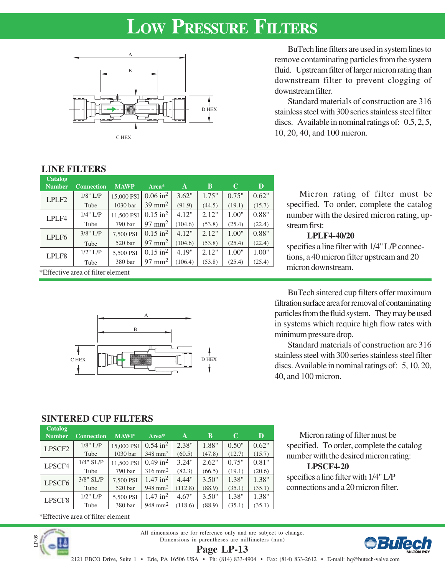# **LOW PRESSURE FILTERS**



BuTech line filters are used in system lines to remove contaminating particles from the system fluid. Upstream filter of larger micron rating than downstream filter to prevent clogging of downstream filter.

Standard materials of construction are 316 stainless steel with 300 series stainless steel filter discs. Available in nominal ratings of: 0.5, 2, 5, 10, 20, 40, and 100 micron.

## **LINE FILTERS**

| Catalog<br><b>Number</b> | <b>Connection</b>                 | <b>MAWP</b> | Area*                  | A       | B      | C      | D      |  |  |
|--------------------------|-----------------------------------|-------------|------------------------|---------|--------|--------|--------|--|--|
| LPLF <sub>2</sub>        | $1/8$ " L/P                       | 15,000 PSI  | $0.06$ in <sup>2</sup> | 3.62"   | 1.75"  | 0.75"  | 0.62"  |  |  |
|                          | Tube                              | 1030 bar    | $39 \text{ mm}^2$      | (91.9)  | (44.5) | (19.1) | (15.7) |  |  |
| LPLF4                    | $1/4$ " L/P                       | 11,500 PSI  | $0.15$ in <sup>2</sup> | 4.12"   | 2.12"  | 1.00"  | 0.88"  |  |  |
|                          | Tube                              | 790 bar     | $97 \text{ mm}^2$      | (104.6) | (53.8) | (25.4) | (22.4) |  |  |
| LPLF <sub>6</sub>        | $3/8$ " L/P                       | 7,500 PSI   | $0.15$ in <sup>2</sup> | 4.12"   | 2.12"  | 1.00"  | 0.88"  |  |  |
|                          | Tube                              | 520 bar     | $97$ mm <sup>2</sup>   | (104.6) | (53.8) | (25.4) | (22.4) |  |  |
| LPLF8                    | $1/2$ " L/P                       | 5,500 PSI   | $0.15$ in <sup>2</sup> | 4.19"   | 2.12"  | 1.00"  | 1.00"  |  |  |
|                          | Tube                              | 380 bar     | $97$ mm <sup>2</sup>   | (106.4) | (53.8) | (25.4) | (25.4) |  |  |
|                          | *Effective area of filter element |             |                        |         |        |        |        |  |  |

A

C HEX D HEX

B

Micron rating of filter must be specified. To order, complete the catalog number with the desired micron rating, upstream first:

### **LPLF4-40/20**

specifies a line filter with 1/4" L/P connections, a 40 micron filter upstream and 20 micron downstream.

BuTech sintered cup filters offer maximum filtration surface area for removal of contaminating particles from the fluid system. They may be used in systems which require high flow rates with minimum pressure drop.

Standard materials of construction are 316 stainless steel with 300 series stainless steel filter discs. Available in nominal ratings of: 5, 10, 20, 40, and 100 micron.

Micron rating of filter must be specified. To order, complete the catalog number with the desired micron rating:

specifies a line filter with 1/4" L/P connections and a 20 micron filter.

**LPSCF4-20**

# **SINTERED CUP FILTERS**

| Catalog            |                   |             |                        |         |        |        |        |
|--------------------|-------------------|-------------|------------------------|---------|--------|--------|--------|
| <b>Number</b>      | <b>Connection</b> | <b>MAWP</b> | Area*                  | A       | B      | C      | D      |
| LPSCF <sub>2</sub> | $1/8$ " L/P       | 15,000 PSI  | $0.54 \text{ in}^2$    | 2.38"   | 1.88"  | 0.50"  | 0.62"  |
|                    | Tube              | 1030 bar    | $348$ mm <sup>2</sup>  | (60.5)  | (47.8) | (12.7) | (15.7) |
| LPSCF4             | $1/4$ " SL/P      | 11,500 PSI  | $0.49$ in <sup>2</sup> | 3.24"   | 2.62"  | 0.75"  | 0.81"  |
|                    | Tube              | 790 bar     | $316$ mm <sup>2</sup>  | (82.3)  | (66.5) | (19.1) | (20.6) |
| LPSCF <sub>6</sub> | $3/8$ " SL/P      | 7,500 PSI   | $1.47$ in <sup>2</sup> | 4.44"   | 3.50"  | 1.38"  | 1.38"  |
|                    | Tube              | 520 bar     | $948$ mm <sup>2</sup>  | (112.8) | (88.9) | (35.1) | (35.1) |
| LPSCF8             | $1/2$ " L/P       | 5,500 PSI   | $1.47$ in <sup>2</sup> | 4.67"   | 3.50"  | 1.38"  | 1.38"  |
|                    | Tube              | 380 bar     | $948$ mm <sup>2</sup>  | (118.6) | (88.9) | (35.1) | (35.1) |

\*Effective area of filter element



All dimensions are for reference only and are subject to change. Dimensions in parentheses are millimeters (mm) **Page LP-13**